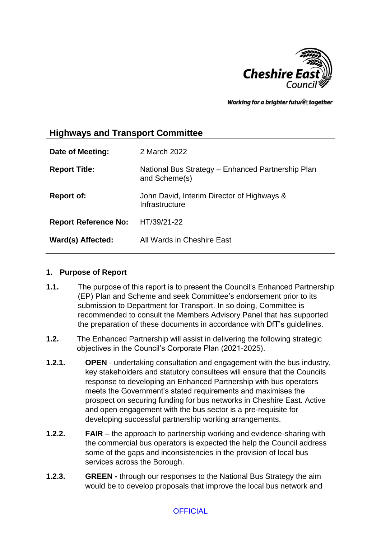

Working for a brighter futures together

# **Highways and Transport Committee**

| Date of Meeting:            | 2 March 2022                                                       |
|-----------------------------|--------------------------------------------------------------------|
| <b>Report Title:</b>        | National Bus Strategy – Enhanced Partnership Plan<br>and Scheme(s) |
| <b>Report of:</b>           | John David, Interim Director of Highways &<br>Infrastructure       |
| <b>Report Reference No:</b> | HT/39/21-22                                                        |
| Ward(s) Affected:           | All Wards in Cheshire East                                         |

#### **1. Purpose of Report**

- **1.1.** The purpose of this report is to present the Council's Enhanced Partnership (EP) Plan and Scheme and seek Committee's endorsement prior to its submission to Department for Transport. In so doing, Committee is recommended to consult the Members Advisory Panel that has supported the preparation of these documents in accordance with DfT's guidelines.
- **1.2.** The Enhanced Partnership will assist in delivering the following strategic objectives in the Council's Corporate Plan (2021-2025).
- **1.2.1. OPEN** undertaking consultation and engagement with the bus industry, key stakeholders and statutory consultees will ensure that the Councils response to developing an Enhanced Partnership with bus operators meets the Government's stated requirements and maximises the prospect on securing funding for bus networks in Cheshire East. Active and open engagement with the bus sector is a pre-requisite for developing successful partnership working arrangements.
- **1.2.2. FAIR**  the approach to partnership working and evidence-sharing with the commercial bus operators is expected the help the Council address some of the gaps and inconsistencies in the provision of local bus services across the Borough.
- **1.2.3. GREEN -** through our responses to the National Bus Strategy the aim would be to develop proposals that improve the local bus network and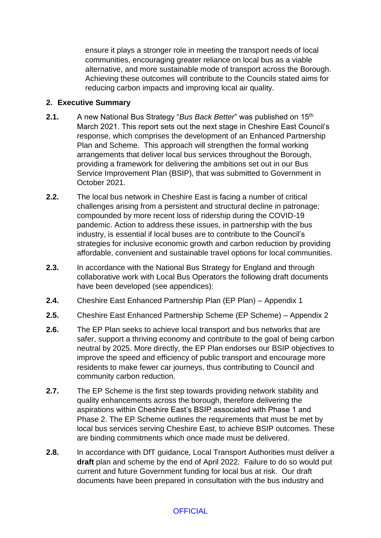ensure it plays a stronger role in meeting the transport needs of local communities, encouraging greater reliance on local bus as a viable alternative, and more sustainable mode of transport across the Borough. Achieving these outcomes will contribute to the Councils stated aims for reducing carbon impacts and improving local air quality.

#### **2. Executive Summary**

- **2.1.** A new National Bus Strategy "*Bus Back Better*" was published on 15th March 2021. This report sets out the next stage in Cheshire East Council's response, which comprises the development of an Enhanced Partnership Plan and Scheme. This approach will strengthen the formal working arrangements that deliver local bus services throughout the Borough, providing a framework for delivering the ambitions set out in our Bus Service Improvement Plan (BSIP), that was submitted to Government in October 2021.
- **2.2.** The local bus network in Cheshire East is facing a number of critical challenges arising from a persistent and structural decline in patronage; compounded by more recent loss of ridership during the COVID-19 pandemic. Action to address these issues, in partnership with the bus industry, is essential if local buses are to contribute to the Council's strategies for inclusive economic growth and carbon reduction by providing affordable, convenient and sustainable travel options for local communities.
- **2.3.** In accordance with the National Bus Strategy for England and through collaborative work with Local Bus Operators the following draft documents have been developed (see appendices):
- **2.4.** Cheshire East Enhanced Partnership Plan (EP Plan) Appendix 1
- **2.5.** Cheshire East Enhanced Partnership Scheme (EP Scheme) Appendix 2
- **2.6.** The EP Plan seeks to achieve local transport and bus networks that are safer, support a thriving economy and contribute to the goal of being carbon neutral by 2025. More directly, the EP Plan endorses our BSIP objectives to improve the speed and efficiency of public transport and encourage more residents to make fewer car journeys, thus contributing to Council and community carbon reduction.
- **2.7.** The EP Scheme is the first step towards providing network stability and quality enhancements across the borough, therefore delivering the aspirations within Cheshire East's BSIP associated with Phase 1 and Phase 2. The EP Scheme outlines the requirements that must be met by local bus services serving Cheshire East, to achieve BSIP outcomes. These are binding commitments which once made must be delivered.
- **2.8.** In accordance with DfT guidance, Local Transport Authorities must deliver a **draft** plan and scheme by the end of April 2022. Failure to do so would put current and future Government funding for local bus at risk. Our draft documents have been prepared in consultation with the bus industry and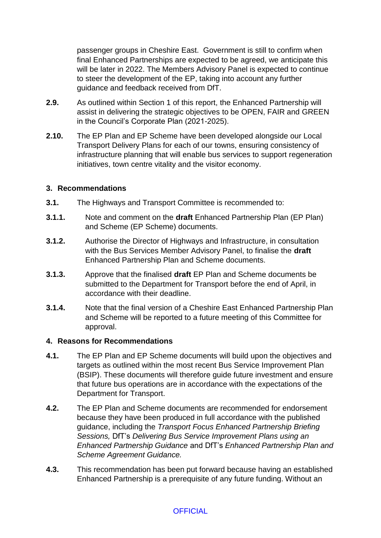passenger groups in Cheshire East. Government is still to confirm when final Enhanced Partnerships are expected to be agreed, we anticipate this will be later in 2022. The Members Advisory Panel is expected to continue to steer the development of the EP, taking into account any further guidance and feedback received from DfT.

- **2.9.** As outlined within Section 1 of this report, the Enhanced Partnership will assist in delivering the strategic objectives to be OPEN, FAIR and GREEN in the Council's Corporate Plan (2021-2025).
- **2.10.** The EP Plan and EP Scheme have been developed alongside our Local Transport Delivery Plans for each of our towns, ensuring consistency of infrastructure planning that will enable bus services to support regeneration initiatives, town centre vitality and the visitor economy.

#### **3. Recommendations**

- **3.1.** The Highways and Transport Committee is recommended to:
- **3.1.1.** Note and comment on the **draft** Enhanced Partnership Plan (EP Plan) and Scheme (EP Scheme) documents.
- **3.1.2.** Authorise the Director of Highways and Infrastructure, in consultation with the Bus Services Member Advisory Panel, to finalise the **draft**  Enhanced Partnership Plan and Scheme documents.
- **3.1.3.** Approve that the finalised **draft** EP Plan and Scheme documents be submitted to the Department for Transport before the end of April, in accordance with their deadline.
- **3.1.4.** Note that the final version of a Cheshire East Enhanced Partnership Plan and Scheme will be reported to a future meeting of this Committee for approval.

#### **4. Reasons for Recommendations**

- **4.1.** The EP Plan and EP Scheme documents will build upon the objectives and targets as outlined within the most recent Bus Service Improvement Plan (BSIP). These documents will therefore guide future investment and ensure that future bus operations are in accordance with the expectations of the Department for Transport.
- **4.2.** The EP Plan and Scheme documents are recommended for endorsement because they have been produced in full accordance with the published guidance, including the *Transport Focus Enhanced Partnership Briefing Sessions,* DfT's *Delivering Bus Service Improvement Plans using an Enhanced Partnership Guidance* and DfT's *Enhanced Partnership Plan and Scheme Agreement Guidance.*
- **4.3.** This recommendation has been put forward because having an established Enhanced Partnership is a prerequisite of any future funding. Without an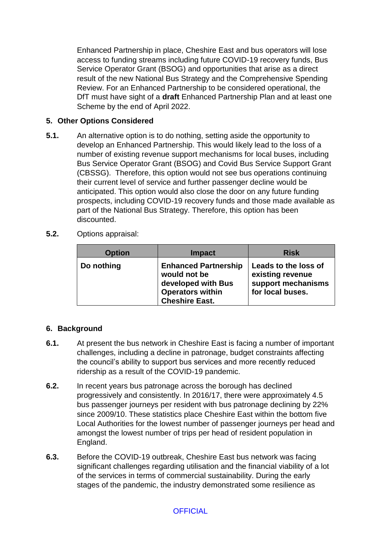Enhanced Partnership in place, Cheshire East and bus operators will lose access to funding streams including future COVID-19 recovery funds, Bus Service Operator Grant (BSOG) and opportunities that arise as a direct result of the new National Bus Strategy and the Comprehensive Spending Review. For an Enhanced Partnership to be considered operational, the DfT must have sight of a **draft** Enhanced Partnership Plan and at least one Scheme by the end of April 2022.

# **5. Other Options Considered**

- **5.1.** An alternative option is to do nothing, setting aside the opportunity to develop an Enhanced Partnership. This would likely lead to the loss of a number of existing revenue support mechanisms for local buses, including Bus Service Operator Grant (BSOG) and Covid Bus Service Support Grant (CBSSG). Therefore, this option would not see bus operations continuing their current level of service and further passenger decline would be anticipated. This option would also close the door on any future funding prospects, including COVID-19 recovery funds and those made available as part of the National Bus Strategy. Therefore, this option has been discounted.
- **5.2.** Options appraisal:

| <b>Option</b> | <b>Impact</b>                                                                                                         | <b>Risk</b>                                                                        |
|---------------|-----------------------------------------------------------------------------------------------------------------------|------------------------------------------------------------------------------------|
| Do nothing    | <b>Enhanced Partnership</b><br>would not be<br>developed with Bus<br><b>Operators within</b><br><b>Cheshire East.</b> | Leads to the loss of<br>existing revenue<br>support mechanisms<br>for local buses. |

# **6. Background**

- **6.1.** At present the bus network in Cheshire East is facing a number of important challenges, including a decline in patronage, budget constraints affecting the council's ability to support bus services and more recently reduced ridership as a result of the COVID-19 pandemic.
- **6.2.** In recent years bus patronage across the borough has declined progressively and consistently. In 2016/17, there were approximately 4.5 bus passenger journeys per resident with bus patronage declining by 22% since 2009/10. These statistics place Cheshire East within the bottom five Local Authorities for the lowest number of passenger journeys per head and amongst the lowest number of trips per head of resident population in England.
- **6.3.** Before the COVID-19 outbreak, Cheshire East bus network was facing significant challenges regarding utilisation and the financial viability of a lot of the services in terms of commercial sustainability. During the early stages of the pandemic, the industry demonstrated some resilience as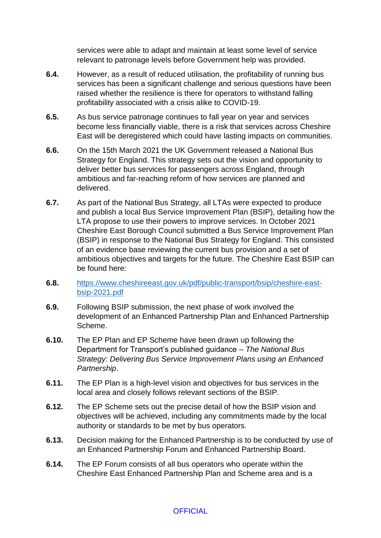services were able to adapt and maintain at least some level of service relevant to patronage levels before Government help was provided.

- **6.4.** However, as a result of reduced utilisation, the profitability of running bus services has been a significant challenge and serious questions have been raised whether the resilience is there for operators to withstand falling profitability associated with a crisis alike to COVID-19.
- **6.5.** As bus service patronage continues to fall year on year and services become less financially viable, there is a risk that services across Cheshire East will be deregistered which could have lasting impacts on communities.
- **6.6.** On the 15th March 2021 the UK Government released a National Bus Strategy for England. This strategy sets out the vision and opportunity to deliver better bus services for passengers across England, through ambitious and far-reaching reform of how services are planned and delivered.
- **6.7.** As part of the National Bus Strategy, all LTAs were expected to produce and publish a local Bus Service Improvement Plan (BSIP), detailing how the LTA propose to use their powers to improve services. In October 2021 Cheshire East Borough Council submitted a Bus Service Improvement Plan (BSIP) in response to the National Bus Strategy for England. This consisted of an evidence base reviewing the current bus provision and a set of ambitious objectives and targets for the future. The Cheshire East BSIP can be found here:
- **6.8.** [https://www.cheshireeast.gov.uk/pdf/public-transport/bsip/cheshire-east](https://www.cheshireeast.gov.uk/pdf/public-transport/bsip/cheshire-east-bsip-2021.pdf)[bsip-2021.pdf](https://www.cheshireeast.gov.uk/pdf/public-transport/bsip/cheshire-east-bsip-2021.pdf)
- **6.9.** Following BSIP submission, the next phase of work involved the development of an Enhanced Partnership Plan and Enhanced Partnership Scheme.
- **6.10.** The EP Plan and EP Scheme have been drawn up following the Department for Transport's published guidance – *The National Bus Strategy: Delivering Bus Service Improvement Plans using an Enhanced Partnership*.
- **6.11.** The EP Plan is a high-level vision and objectives for bus services in the local area and closely follows relevant sections of the BSIP.
- **6.12.** The EP Scheme sets out the precise detail of how the BSIP vision and objectives will be achieved, including any commitments made by the local authority or standards to be met by bus operators.
- **6.13.** Decision making for the Enhanced Partnership is to be conducted by use of an Enhanced Partnership Forum and Enhanced Partnership Board.
- **6.14.** The EP Forum consists of all bus operators who operate within the Cheshire East Enhanced Partnership Plan and Scheme area and is a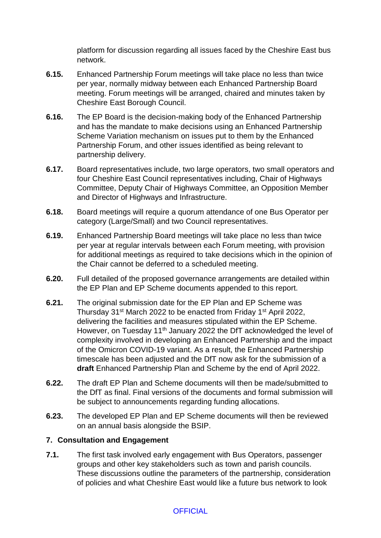platform for discussion regarding all issues faced by the Cheshire East bus network.

- **6.15.** Enhanced Partnership Forum meetings will take place no less than twice per year, normally midway between each Enhanced Partnership Board meeting. Forum meetings will be arranged, chaired and minutes taken by Cheshire East Borough Council.
- **6.16.** The EP Board is the decision-making body of the Enhanced Partnership and has the mandate to make decisions using an Enhanced Partnership Scheme Variation mechanism on issues put to them by the Enhanced Partnership Forum, and other issues identified as being relevant to partnership delivery.
- **6.17.** Board representatives include, two large operators, two small operators and four Cheshire East Council representatives including, Chair of Highways Committee, Deputy Chair of Highways Committee, an Opposition Member and Director of Highways and Infrastructure.
- **6.18.** Board meetings will require a quorum attendance of one Bus Operator per category (Large/Small) and two Council representatives.
- **6.19.** Enhanced Partnership Board meetings will take place no less than twice per year at regular intervals between each Forum meeting, with provision for additional meetings as required to take decisions which in the opinion of the Chair cannot be deferred to a scheduled meeting.
- **6.20.** Full detailed of the proposed governance arrangements are detailed within the EP Plan and EP Scheme documents appended to this report.
- **6.21.** The original submission date for the EP Plan and EP Scheme was Thursday 31st March 2022 to be enacted from Friday 1st April 2022, delivering the facilities and measures stipulated within the EP Scheme. However, on Tuesday 11<sup>th</sup> January 2022 the DfT acknowledged the level of complexity involved in developing an Enhanced Partnership and the impact of the Omicron COVID-19 variant. As a result, the Enhanced Partnership timescale has been adjusted and the DfT now ask for the submission of a **draft** Enhanced Partnership Plan and Scheme by the end of April 2022.
- **6.22.** The draft EP Plan and Scheme documents will then be made/submitted to the DfT as final. Final versions of the documents and formal submission will be subject to announcements regarding funding allocations.
- **6.23.** The developed EP Plan and EP Scheme documents will then be reviewed on an annual basis alongside the BSIP.

# **7. Consultation and Engagement**

**7.1.** The first task involved early engagement with Bus Operators, passenger groups and other key stakeholders such as town and parish councils. These discussions outline the parameters of the partnership, consideration of policies and what Cheshire East would like a future bus network to look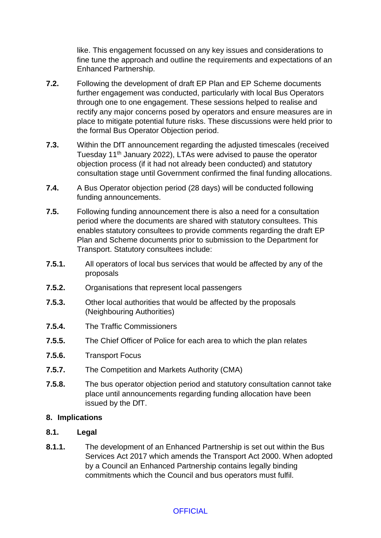like. This engagement focussed on any key issues and considerations to fine tune the approach and outline the requirements and expectations of an Enhanced Partnership.

- **7.2.** Following the development of draft EP Plan and EP Scheme documents further engagement was conducted, particularly with local Bus Operators through one to one engagement. These sessions helped to realise and rectify any major concerns posed by operators and ensure measures are in place to mitigate potential future risks. These discussions were held prior to the formal Bus Operator Objection period.
- **7.3.** Within the DfT announcement regarding the adjusted timescales (received Tuesday 11th January 2022), LTAs were advised to pause the operator objection process (if it had not already been conducted) and statutory consultation stage until Government confirmed the final funding allocations.
- **7.4.** A Bus Operator objection period (28 days) will be conducted following funding announcements.
- **7.5.** Following funding announcement there is also a need for a consultation period where the documents are shared with statutory consultees. This enables statutory consultees to provide comments regarding the draft EP Plan and Scheme documents prior to submission to the Department for Transport. Statutory consultees include:
- **7.5.1.** All operators of local bus services that would be affected by any of the proposals
- **7.5.2.** Organisations that represent local passengers
- **7.5.3.** Other local authorities that would be affected by the proposals (Neighbouring Authorities)
- **7.5.4.** The Traffic Commissioners
- **7.5.5.** The Chief Officer of Police for each area to which the plan relates
- **7.5.6.** Transport Focus
- **7.5.7.** The Competition and Markets Authority (CMA)
- **7.5.8.** The bus operator objection period and statutory consultation cannot take place until announcements regarding funding allocation have been issued by the DfT.

#### **8. Implications**

- **8.1. Legal**
- **8.1.1.** The development of an Enhanced Partnership is set out within the Bus Services Act 2017 which amends the Transport Act 2000. When adopted by a Council an Enhanced Partnership contains legally binding commitments which the Council and bus operators must fulfil.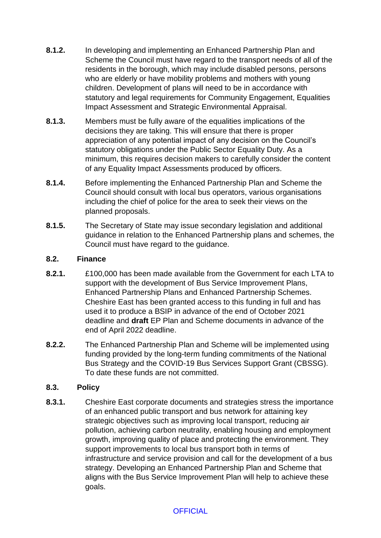- **8.1.2.** In developing and implementing an Enhanced Partnership Plan and Scheme the Council must have regard to the transport needs of all of the residents in the borough, which may include disabled persons, persons who are elderly or have mobility problems and mothers with young children. Development of plans will need to be in accordance with statutory and legal requirements for Community Engagement, Equalities Impact Assessment and Strategic Environmental Appraisal.
- **8.1.3.** Members must be fully aware of the equalities implications of the decisions they are taking. This will ensure that there is proper appreciation of any potential impact of any decision on the Council's statutory obligations under the Public Sector Equality Duty. As a minimum, this requires decision makers to carefully consider the content of any Equality Impact Assessments produced by officers.
- **8.1.4.** Before implementing the Enhanced Partnership Plan and Scheme the Council should consult with local bus operators, various organisations including the chief of police for the area to seek their views on the planned proposals.
- **8.1.5.** The Secretary of State may issue secondary legislation and additional guidance in relation to the Enhanced Partnership plans and schemes, the Council must have regard to the guidance.

### **8.2. Finance**

- **8.2.1.** £100,000 has been made available from the Government for each LTA to support with the development of Bus Service Improvement Plans, Enhanced Partnership Plans and Enhanced Partnership Schemes. Cheshire East has been granted access to this funding in full and has used it to produce a BSIP in advance of the end of October 2021 deadline and **draft** EP Plan and Scheme documents in advance of the end of April 2022 deadline.
- **8.2.2.** The Enhanced Partnership Plan and Scheme will be implemented using funding provided by the long-term funding commitments of the National Bus Strategy and the COVID-19 Bus Services Support Grant (CBSSG). To date these funds are not committed.

# **8.3. Policy**

**8.3.1.** Cheshire East corporate documents and strategies stress the importance of an enhanced public transport and bus network for attaining key strategic objectives such as improving local transport, reducing air pollution, achieving carbon neutrality, enabling housing and employment growth, improving quality of place and protecting the environment. They support improvements to local bus transport both in terms of infrastructure and service provision and call for the development of a bus strategy. Developing an Enhanced Partnership Plan and Scheme that aligns with the Bus Service Improvement Plan will help to achieve these goals.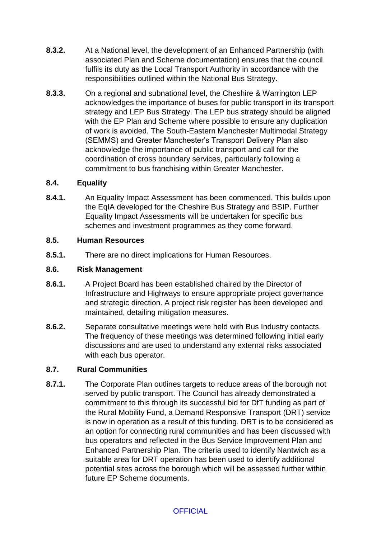- **8.3.2.** At a National level, the development of an Enhanced Partnership (with associated Plan and Scheme documentation) ensures that the council fulfils its duty as the Local Transport Authority in accordance with the responsibilities outlined within the National Bus Strategy.
- **8.3.3.** On a regional and subnational level, the Cheshire & Warrington LEP acknowledges the importance of buses for public transport in its transport strategy and LEP Bus Strategy. The LEP bus strategy should be aligned with the EP Plan and Scheme where possible to ensure any duplication of work is avoided. The South-Eastern Manchester Multimodal Strategy (SEMMS) and Greater Manchester's Transport Delivery Plan also acknowledge the importance of public transport and call for the coordination of cross boundary services, particularly following a commitment to bus franchising within Greater Manchester.

### **8.4. Equality**

**8.4.1.** An Equality Impact Assessment has been commenced. This builds upon the EqIA developed for the Cheshire Bus Strategy and BSIP. Further Equality Impact Assessments will be undertaken for specific bus schemes and investment programmes as they come forward.

### **8.5. Human Resources**

**8.5.1.** There are no direct implications for Human Resources.

#### **8.6. Risk Management**

- **8.6.1.** A Project Board has been established chaired by the Director of Infrastructure and Highways to ensure appropriate project governance and strategic direction. A project risk register has been developed and maintained, detailing mitigation measures.
- **8.6.2.** Separate consultative meetings were held with Bus Industry contacts. The frequency of these meetings was determined following initial early discussions and are used to understand any external risks associated with each bus operator.

# **8.7. Rural Communities**

**8.7.1.** The Corporate Plan outlines targets to reduce areas of the borough not served by public transport. The Council has already demonstrated a commitment to this through its successful bid for DfT funding as part of the Rural Mobility Fund, a Demand Responsive Transport (DRT) service is now in operation as a result of this funding. DRT is to be considered as an option for connecting rural communities and has been discussed with bus operators and reflected in the Bus Service Improvement Plan and Enhanced Partnership Plan. The criteria used to identify Nantwich as a suitable area for DRT operation has been used to identify additional potential sites across the borough which will be assessed further within future EP Scheme documents.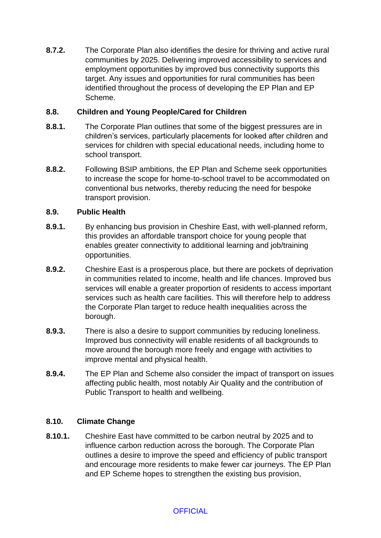**8.7.2.** The Corporate Plan also identifies the desire for thriving and active rural communities by 2025. Delivering improved accessibility to services and employment opportunities by improved bus connectivity supports this target. Any issues and opportunities for rural communities has been identified throughout the process of developing the EP Plan and EP Scheme.

### **8.8. Children and Young People/Cared for Children**

- **8.8.1.** The Corporate Plan outlines that some of the biggest pressures are in children's services, particularly placements for looked after children and services for children with special educational needs, including home to school transport.
- **8.8.2.** Following BSIP ambitions, the EP Plan and Scheme seek opportunities to increase the scope for home-to-school travel to be accommodated on conventional bus networks, thereby reducing the need for bespoke transport provision.

### **8.9. Public Health**

- **8.9.1.** By enhancing bus provision in Cheshire East, with well-planned reform, this provides an affordable transport choice for young people that enables greater connectivity to additional learning and job/training opportunities.
- **8.9.2.** Cheshire East is a prosperous place, but there are pockets of deprivation in communities related to income, health and life chances. Improved bus services will enable a greater proportion of residents to access important services such as health care facilities. This will therefore help to address the Corporate Plan target to reduce health inequalities across the borough.
- **8.9.3.** There is also a desire to support communities by reducing loneliness. Improved bus connectivity will enable residents of all backgrounds to move around the borough more freely and engage with activities to improve mental and physical health.
- **8.9.4.** The EP Plan and Scheme also consider the impact of transport on issues affecting public health, most notably Air Quality and the contribution of Public Transport to health and wellbeing.

# **8.10. Climate Change**

**8.10.1.** Cheshire East have committed to be carbon neutral by 2025 and to influence carbon reduction across the borough. The Corporate Plan outlines a desire to improve the speed and efficiency of public transport and encourage more residents to make fewer car journeys. The EP Plan and EP Scheme hopes to strengthen the existing bus provision,